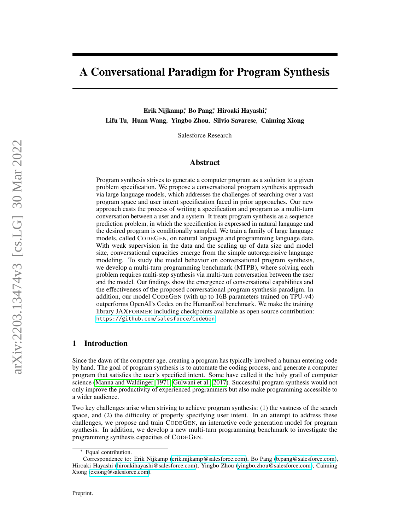# A Conversational Paradigm for Program Synthesis

Erik Nijkamp,\* Bo Pang,\* Hiroaki Hayashi,\* Lifu Tu, Huan Wang, Yingbo Zhou, Silvio Savarese, Caiming Xiong

Salesforce Research

## Abstract

Program synthesis strives to generate a computer program as a solution to a given problem specification. We propose a conversational program synthesis approach via large language models, which addresses the challenges of searching over a vast program space and user intent specification faced in prior approaches. Our new approach casts the process of writing a specification and program as a multi-turn conversation between a user and a system. It treats program synthesis as a sequence prediction problem, in which the specification is expressed in natural language and the desired program is conditionally sampled. We train a family of large language models, called CODEGEN, on natural language and programming language data. With weak supervision in the data and the scaling up of data size and model size, conversational capacities emerge from the simple autoregressive language modeling. To study the model behavior on conversational program synthesis, we develop a multi-turn programming benchmark (MTPB), where solving each problem requires multi-step synthesis via multi-turn conversation between the user and the model. Our findings show the emergence of conversational capabilities and the effectiveness of the proposed conversational program synthesis paradigm. In addition, our model CODEGEN (with up to 16B parameters trained on TPU-v4) outperforms OpenAI's Codex on the HumanEval benchmark. We make the training library JAXFORMER including checkpoints available as open source contribution: <https://github.com/salesforce/CodeGen>.

# 1 Introduction

Since the dawn of the computer age, creating a program has typically involved a human entering code by hand. The goal of program synthesis is to automate the coding process, and generate a computer program that satisfies the user's specified intent. Some have called it the holy grail of computer science [\(Manna and Waldinger, 1971;](#page-14-0) [Gulwani et al., 2017\)](#page-14-1). Successful program synthesis would not only improve the productivity of experienced programmers but also make programming accessible to a wider audience.

Two key challenges arise when striving to achieve program synthesis: (1) the vastness of the search space, and (2) the difficulty of properly specifying user intent. In an attempt to address these challenges, we propose and train CODEGEN, an interactive code generation model for program synthesis. In addition, we develop a new multi-turn programming benchmark to investigate the programming synthesis capacities of CODEGEN.

Equal contribution.

Correspondence to: Erik Nijkamp [\(erik.nijkamp@salesforce.com\)](mailto:erik.nijkamp@salesforce.com), Bo Pang [\(b.pang@salesforce.com\)](mailto:b.pang@salesforce.com), Hiroaki Hayashi [\(hiroakihayashi@salesforce.com\)](mailto:hiroakihayashi@salesforce.com ), Yingbo Zhou [\(yingbo.zhou@salesforce.com\)](mailto:yingbo.zhou@salesforce.com), Caiming Xiong [\(cxiong@salesforce.com\)](mailto:cxiong@salesforce.com).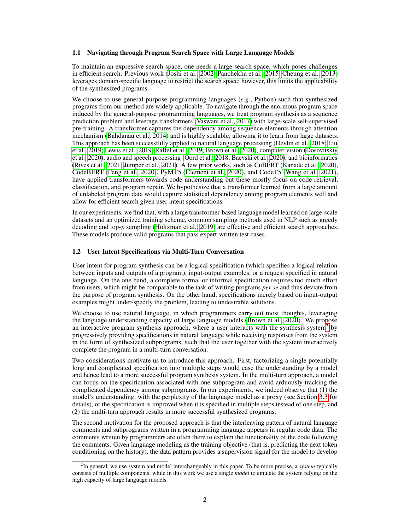#### 1.1 Navigating through Program Search Space with Large Language Models

To maintain an expressive search space, one needs a large search space, which poses challenges in efficient search. Previous work [\(Joshi et al., 2002;](#page-14-2) [Panchekha et al., 2015;](#page-15-0) [Cheung et al., 2013\)](#page-13-0) leverages domain-specific language to restrict the search space; however, this limits the applicability of the synthesized programs.

We choose to use general-purpose programming languages (*e.g.*, Python) such that synthesized programs from our method are widely applicable. To navigate through the enormous program space induced by the general-purpose programming languages, we treat program synthesis as a sequence prediction problem and leverage transformers [\(Vaswani et al., 2017\)](#page-15-1) with large-scale self-supervised pre-training. A transformer captures the dependency among sequence elements through attention mechanism [\(Bahdanau et al., 2014\)](#page-13-1) and is highly scalable, allowing it to learn from large datasets. This approach has been successfully applied to natural language processing [\(Devlin et al., 2018;](#page-13-2) [Liu](#page-14-3) [et al., 2019;](#page-14-3) [Lewis et al., 2019;](#page-14-4) [Raffel et al., 2019;](#page-15-2) [Brown et al., 2020\)](#page-13-3), computer vision [\(Dosovitskiy](#page-14-5) [et al., 2020\)](#page-14-5), audio and speech processing [\(Oord et al., 2018;](#page-15-3) [Baevski et al., 2020\)](#page-13-4), and bioinformatics [\(Rives et al., 2021;](#page-15-4) [Jumper et al., 2021\)](#page-14-6). A few prior works, such as CuBERT [\(Kanade et al., 2020\)](#page-14-7), CodeBERT [\(Feng et al., 2020\)](#page-14-8), PyMT5 [\(Clement et al., 2020\)](#page-13-5), and CodeT5 [\(Wang et al., 2021\)](#page-15-5), have applied transformers towards code understanding but these mostly focus on code retrieval, classification, and program repair. We hypothesize that a transformer learned from a large amount of unlabeled program data would capture statistical dependency among program elements well and allow for efficient search given user intent specifications.

In our experiments, we find that, with a large transformer-based language model learned on large-scale datasets and an optimized training scheme, common sampling methods used in NLP such as greedy decoding and top-p sampling [\(Holtzman et al., 2019\)](#page-14-9) are effective and efficient search approaches. These models produce valid programs that pass expert-written test cases.

## <span id="page-1-1"></span>1.2 User Intent Specifications via Multi-Turn Conversation

User intent for program synthesis can be a logical specification (which specifies a logical relation between inputs and outputs of a program), input-output examples, or a request specified in natural language. On the one hand, a complete formal or informal specification requires too much effort from users, which might be comparable to the task of writing programs *per se* and thus deviate from the purpose of program synthesis. On the other hand, specifications merely based on input-output examples might under-specify the problem, leading to undesirable solutions.

We choose to use natural language, in which programmers carry out most thoughts, leveraging the language understanding capacity of large language models [\(Brown et al., 2020\)](#page-13-3). We propose an interactive program synthesis approach, where a user interacts with the synthesis system<sup>[2](#page-1-0)</sup> by progressively providing specifications in natural language while receiving responses from the system in the form of synthesized subprograms, such that the user together with the system interactively complete the program in a multi-turn conversation.

Two considerations motivate us to introduce this approach. First, factorizing a single potentially long and complicated specification into multiple steps would ease the understanding by a model and hence lead to a more successful program synthesis system. In the multi-turn approach, a model can focus on the specification associated with one subprogram and avoid arduously tracking the complicated dependency among subprograms. In our experiments, we indeed observe that (1) the model's understanding, with the perplexity of the language model as a proxy (see Section [3.3](#page-7-0) for details), of the specification is improved when it is specified in multiple steps instead of one step, and (2) the multi-turn approach results in more successful synthesized programs.

The second motivation for the proposed approach is that the interleaving pattern of natural language comments and subprograms written in a programming language appears in regular code data. The comments written by programmers are often there to explain the functionality of the code following the comments. Given language modeling as the training objective (that is, predicting the next token conditioning on the history), the data pattern provides a supervision signal for the model to develop

<span id="page-1-0"></span><sup>2</sup> In general, we use system and model interchangeably in this paper. To be more precise, a *system* typically consists of multiple components, while in this work we use a single *model* to emulate the system relying on the high capacity of large language models.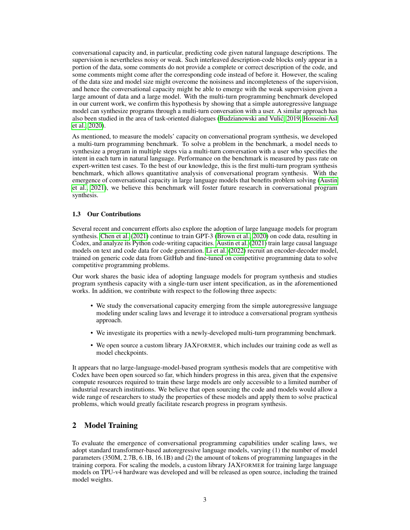conversational capacity and, in particular, predicting code given natural language descriptions. The supervision is nevertheless noisy or weak. Such interleaved description-code blocks only appear in a portion of the data, some comments do not provide a complete or correct description of the code, and some comments might come after the corresponding code instead of before it. However, the scaling of the data size and model size might overcome the noisiness and incompleteness of the supervision, and hence the conversational capacity might be able to emerge with the weak supervision given a large amount of data and a large model. With the multi-turn programming benchmark developed in our current work, we confirm this hypothesis by showing that a simple autoregressive language model can synthesize programs through a multi-turn conversation with a user. A similar approach has also been studied in the area of task-oriented dialogues [\(Budzianowski and Vulic, 2019;](#page-13-6) [Hosseini-Asl](#page-14-10) ´ [et al., 2020\)](#page-14-10).

As mentioned, to measure the models' capacity on conversational program synthesis, we developed a multi-turn programming benchmark. To solve a problem in the benchmark, a model needs to synthesize a program in multiple steps via a multi-turn conversation with a user who specifies the intent in each turn in natural language. Performance on the benchmark is measured by pass rate on expert-written test cases. To the best of our knowledge, this is the first multi-turn program synthesis benchmark, which allows quantitative analysis of conversational program synthesis. With the emergence of conversational capacity in large language models that benefits problem solving [\(Austin](#page-13-7) [et al., 2021\)](#page-13-7), we believe this benchmark will foster future research in conversational program synthesis.

## 1.3 Our Contributions

Several recent and concurrent efforts also explore the adoption of large language models for program synthesis. [Chen et al.](#page-13-8) [\(2021\)](#page-13-8) continue to train GPT-3 [\(Brown et al., 2020\)](#page-13-3) on code data, resulting in Codex, and analyze its Python code-writing capacities. [Austin et al.](#page-13-7) [\(2021\)](#page-13-7) train large causal language models on text and code data for code generation. [Li et al.](#page-14-11) [\(2022\)](#page-14-11) recruit an encoder-decoder model, trained on generic code data from GitHub and fine-tuned on competitive programming data to solve competitive programming problems.

Our work shares the basic idea of adopting language models for program synthesis and studies program synthesis capacity with a single-turn user intent specification, as in the aforementioned works. In addition, we contribute with respect to the following three aspects:

- We study the conversational capacity emerging from the simple autoregressive language modeling under scaling laws and leverage it to introduce a conversational program synthesis approach.
- We investigate its properties with a newly-developed multi-turn programming benchmark.
- We open source a custom library JAXFORMER, which includes our training code as well as model checkpoints.

It appears that no large-language-model-based program synthesis models that are competitive with Codex have been open sourced so far, which hinders progress in this area, given that the expensive compute resources required to train these large models are only accessible to a limited number of industrial research institutions. We believe that open sourcing the code and models would allow a wide range of researchers to study the properties of these models and apply them to solve practical problems, which would greatly facilitate research progress in program synthesis.

# 2 Model Training

To evaluate the emergence of conversational programming capabilities under scaling laws, we adopt standard transformer-based autoregressive language models, varying (1) the number of model parameters (350M, 2.7B, 6.1B, 16.1B) and (2) the amount of tokens of programming languages in the training corpora. For scaling the models, a custom library JAXFORMER for training large language models on TPU-v4 hardware was developed and will be released as open source, including the trained model weights.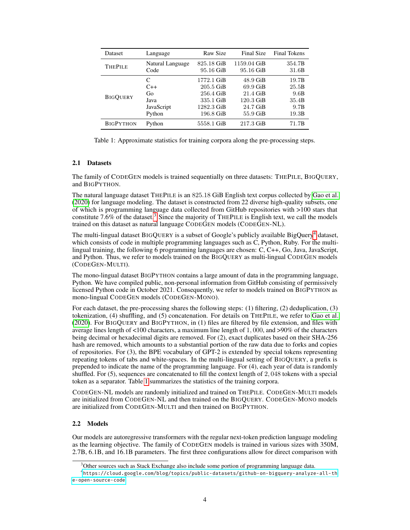<span id="page-3-2"></span>

| Dataset          | Language         | Raw Size    | Final Size  | <b>Final Tokens</b> |
|------------------|------------------|-------------|-------------|---------------------|
| <b>THEPILE</b>   | Natural Language | 825.18 GiB  | 1159.04 GiB | 354.7B              |
|                  | Code             | 95.16 GiB   | 95.16 GiB   | 31.6B               |
| <b>BIGOUERY</b>  | C                | 1772.1 GiB  | $48.9$ GiB  | 19.7B               |
|                  | $C++$            | $205.5$ GiB | $69.9$ GiB  | 25.5B               |
|                  | Go               | 256.4 GiB   | $21.4$ GiB  | 9.6B                |
|                  | Java             | 335.1 GiB   | $120.3$ GiB | 35.4B               |
|                  | JavaScript       | 1282.3 GiB  | 24.7 GiB    | 9.7B                |
|                  | Python           | 196.8 GiB   | 55.9 GiB    | 19.3B               |
| <b>BIGPYTHON</b> | Python           | 5558.1 GiB  | $217.3$ GiB | 71.7B               |

Table 1: Approximate statistics for training corpora along the pre-processing steps.

## <span id="page-3-3"></span>2.1 Datasets

The family of CODEGEN models is trained sequentially on three datasets: THEPILE, BIGQUERY, and BIGPYTHON.

The natural language dataset THEPILE is an 825.18 GiB English text corpus collected by [Gao et al.](#page-14-12) [\(2020\)](#page-14-12) for language modeling. The dataset is constructed from 22 diverse high-quality subsets, one of which is programming language data collected from GitHub repositories with >100 stars that constitute 7.6% of the dataset.<sup>[3](#page-3-0)</sup> Since the majority of THEPILE is English text, we call the models trained on this dataset as natural language CODEGEN models (CODEGEN-NL).

The multi-lingual dataset BIGQUERY is a subset of Google's publicly available BigQuery<sup>[4](#page-3-1)</sup> dataset, which consists of code in multiple programming languages such as C, Python, Ruby. For the multilingual training, the following 6 programming languages are chosen: C, C++, Go, Java, JavaScript, and Python. Thus, we refer to models trained on the BIGQUERY as multi-lingual CODEGEN models (CODEGEN-MULTI).

The mono-lingual dataset BIGPYTHON contains a large amount of data in the programming language, Python. We have compiled public, non-personal information from GitHub consisting of permissively licensed Python code in October 2021. Consequently, we refer to models trained on BIGPYTHON as mono-lingual CODEGEN models (CODEGEN-MONO).

For each dataset, the pre-processing shares the following steps: (1) filtering, (2) deduplication, (3) tokenization, (4) shuffling, and (5) concatenation. For details on THEPILE, we refer to [Gao et al.](#page-14-12) [\(2020\)](#page-14-12). For BIGQUERY and BIGPYTHON, in (1) files are filtered by file extension, and files with average lines length of  $\lt 100$  characters, a maximum line length of 1,000, and  $>90\%$  of the characters being decimal or hexadecimal digits are removed. For (2), exact duplicates based on their SHA-256 hash are removed, which amounts to a substantial portion of the raw data due to forks and copies of repositories. For (3), the BPE vocabulary of GPT-2 is extended by special tokens representing repeating tokens of tabs and white-spaces. In the multi-lingual setting of BIGQUERY, a prefix is prepended to indicate the name of the programming language. For (4), each year of data is randomly shuffled. For (5), sequences are concatenated to fill the context length of 2, 048 tokens with a special token as a separator. Table [1](#page-3-2) summarizes the statistics of the training corpora.

CODEGEN-NL models are randomly initialized and trained on THEPILE. CODEGEN-MULTI models are initialized from CODEGEN-NL and then trained on the BIGQUERY. CODEGEN-MONO models are initialized from CODEGEN-MULTI and then trained on BIGPYTHON.

#### 2.2 Models

Our models are autoregressive transformers with the regular next-token prediction language modeling as the learning objective. The family of CODEGEN models is trained in various sizes with 350M, 2.7B, 6.1B, and 16.1B parameters. The first three configurations allow for direct comparison with

<span id="page-3-1"></span><span id="page-3-0"></span><sup>&</sup>lt;sup>3</sup>Other sources such as Stack Exchange also include some portion of programming language data.

<sup>4</sup> [https://cloud.google.com/blog/topics/public-datasets/github-on-bigquery-analyze-all-th](https://cloud.google.com/blog/topics/public-datasets/github-on-bigquery-analyze-all-the-open-source-code) [e-open-source-code](https://cloud.google.com/blog/topics/public-datasets/github-on-bigquery-analyze-all-the-open-source-code)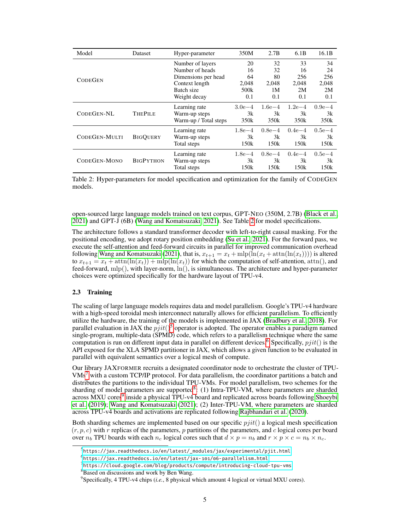<span id="page-4-0"></span>

| Model          | Dataset          | Hyper-parameter       | 350M       | 2.7B       | 6.1B       | 16.1B      |
|----------------|------------------|-----------------------|------------|------------|------------|------------|
|                |                  | Number of layers      | 20         | 32         | 33         | 34         |
|                |                  | Number of heads       | 16         | 32         | 16         | 24         |
| <b>CODEGEN</b> |                  | Dimensions per head   | 64         | 80         | 256        | 256        |
|                |                  | Context length        | 2,048      | 2,048      | 2,048      | 2,048      |
|                |                  | Batch size            | 500k       | 1M         | 2M         | 2M         |
|                |                  | Weight decay          | 0.1        | 0.1        | 0.1        | 0.1        |
|                |                  | Learning rate         | $3.0e - 4$ | $1.6e-4$   | $1.2e - 4$ | $0.9e - 4$ |
| CODEGEN-NL     | <b>THEPILE</b>   | Warm-up steps         | 3k         | 3k         | 3k         | 3k         |
|                |                  | Warm-up / Total steps | 350k       | 350k       | 350k       | 350k       |
|                |                  | Learning rate         | $1.8e - 4$ | $0.8e - 4$ | $0.4e - 4$ | $0.5e - 4$ |
| CODEGEN-MULTI  | <b>BIGOUERY</b>  | Warm-up steps         | 3k         | 3k         | 3k         | 3k         |
|                |                  | Total steps           | 150k       | 150k       | 150k       | 150k       |
|                |                  | Learning rate         | $1.8e - 4$ | $0.8e - 4$ | $0.4e - 4$ | $0.5e - 4$ |
| CODEGEN-MONO   | <b>BIGPYTHON</b> | Warm-up steps         | 3k         | 3k         | 3k         | 3k         |
|                |                  | Total steps           | 150k       | 150k       | 150k       | 150k       |

Table 2: Hyper-parameters for model specification and optimization for the family of CODEGEN models.

open-sourced large language models trained on text corpus, GPT-NEO (350M, 2.7B) [\(Black et al.,](#page-13-9) [2021\)](#page-13-9) and GPT-J (6B) [\(Wang and Komatsuzaki, 2021\)](#page-15-6). See Table [2](#page-4-0) for model specifications.

The architecture follows a standard transformer decoder with left-to-right causal masking. For the positional encoding, we adopt rotary position embedding [\(Su et al., 2021\)](#page-15-7). For the forward pass, we execute the self-attention and feed-forward circuits in parallel for improved communication overhead following [Wang and Komatsuzaki](#page-15-6) [\(2021\)](#page-15-6), that is,  $x_{t+1} = x_t + \text{mlp}(\ln(x_t + \text{attn}(\ln(x_t))))$  is altered to  $x_{t+1} = x_t + \text{attn}(\ln(x_t)) + \text{mlp}(\ln(x_t))$  for which the computation of self-attention, attn(), and feed-forward,  $mlp()$ , with layer-norm,  $ln()$ , is simultaneous. The architecture and hyper-parameter choices were optimized specifically for the hardware layout of TPU-v4.

#### 2.3 Training

The scaling of large language models requires data and model parallelism. Google's TPU-v4 hardware with a high-speed toroidal mesh interconnect naturally allows for efficient parallelism. To efficiently utilize the hardware, the training of the models is implemented in JAX [\(Bradbury et al., 2018\)](#page-13-10). For parallel evaluation in JAX the  $pjit()^5$  $pjit()^5$  operator is adopted. The operator enables a paradigm named single-program, multiple-data (SPMD) code, which refers to a parallelism technique where the same computation is run on different input data in parallel on different devices.<sup>[6](#page-4-2)</sup> Specifically,  $pjit()$  is the API exposed for the XLA SPMD partitioner in JAX, which allows a given function to be evaluated in parallel with equivalent semantics over a logical mesh of compute.

Our library JAXFORMER recruits a designated coordinator node to orchestrate the cluster of TPU- $V$ Ms<sup>[7](#page-4-3)</sup> with a custom TCP/IP protocol. For data parallelism, the coordinator partitions a batch and distributes the partitions to the individual TPU-VMs. For model parallelism, two schemes for the sharding of model parameters are supported<sup>[8](#page-4-4)</sup>: (1) Intra-TPU-VM, where parameters are sharded across MXU cores<sup>[9](#page-4-5)</sup> inside a physical TPU-v4 board and replicated across boards following [Shoeybi](#page-15-8) [et al.](#page-15-8) [\(2019\)](#page-15-8); [Wang and Komatsuzaki](#page-15-6) [\(2021\)](#page-15-6); (2) Inter-TPU-VM, where parameters are sharded across TPU-v4 boards and activations are replicated following [Rajbhandari et al.](#page-15-9) [\(2020\)](#page-15-9).

Both sharding schemes are implemented based on our specific  $pjit()$  a logical mesh specification  $(r, p, c)$  with r replicas of the parameters, p partitions of the parameters, and c logical cores per board over  $n_b$  TPU boards with each  $n_c$  logical cores such that  $d \times p = n_b$  and  $r \times p \times c = n_b \times n_c$ .

<span id="page-4-1"></span><sup>&</sup>lt;sup>5</sup>[https://jax.readthedocs.io/en/latest/\\_modules/jax/experimental/pjit.html](https://jax.readthedocs.io/en/latest/_modules/jax/experimental/pjit.html)

<span id="page-4-2"></span> $^6$ <https://jax.readthedocs.io/en/latest/jax-101/06-parallelism.html>

<span id="page-4-3"></span> $^{7}$ <https://cloud.google.com/blog/products/compute/introducing-cloud-tpu-vms>

<span id="page-4-4"></span><sup>8</sup>Based on discussions and work by Ben Wang.

<span id="page-4-5"></span><sup>9</sup> Specifically, 4 TPU-v4 chips (*i.e.*, 8 physical which amount 4 logical or virtual MXU cores).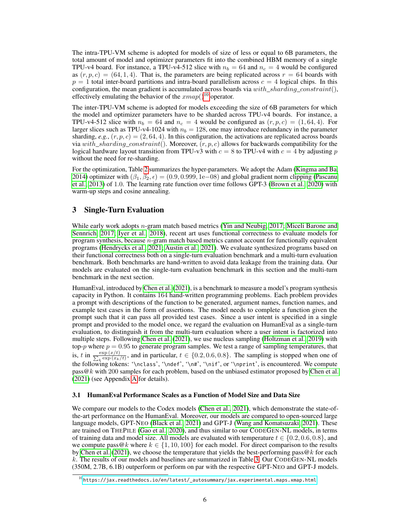The intra-TPU-VM scheme is adopted for models of size of less or equal to 6B parameters, the total amount of model and optimizer parameters fit into the combined HBM memory of a single TPU-v4 board. For instance, a TPU-v4-512 slice with  $n_b = 64$  and  $n_c = 4$  would be configured as  $(r, p, c) = (64, 1, 4)$ . That is, the parameters are being replicated across  $r = 64$  boards with  $p = 1$  total inter-board partitions and intra-board parallelism across  $c = 4$  logical chips. In this configuration, the mean gradient is accumulated across boards via  $with\_sharding\_constraint(),$ effectively emulating the behavior of the  $xmap()^{10}$  $xmap()^{10}$  $xmap()^{10}$  operator.

The inter-TPU-VM scheme is adopted for models exceeding the size of 6B parameters for which the model and optimizer parameters have to be sharded across TPU-v4 boards. For instance, a TPU-v4-512 slice with  $n_b = 64$  and  $n_c = 4$  would be configured as  $(r, p, c) = (1, 64, 4)$ . For larger slices such as TPU-v4-1024 with  $n_b = 128$ , one may introduce redundancy in the parameter sharding,  $e.g., (r, p, c) = (2, 64, 4)$ . In this configuration, the activations are replicated across boards via with\_sharding\_constraint(). Moreover,  $(r, p, c)$  allows for backwards compatibility for the logical hardware layout transition from TPU-v3 with  $c = 8$  to TPU-v4 with  $c = 4$  by adjusting p without the need for re-sharding.

For the optimization, Table [2](#page-4-0) summarizes the hyper-parameters. We adopt the Adam [\(Kingma and Ba,](#page-14-13) [2014\)](#page-14-13) optimizer with  $(\beta_1, \beta_2, \epsilon) = (0.9, 0.999, 1e-08)$  and global gradient norm clipping [\(Pascanu](#page-15-10) [et al., 2013\)](#page-15-10) of 1.0. The learning rate function over time follows GPT-3 [\(Brown et al., 2020\)](#page-13-3) with warm-up steps and cosine annealing.

# 3 Single-Turn Evaluation

While early work adopts n-gram match based metrics [\(Yin and Neubig, 2017;](#page-15-11) [Miceli Barone and](#page-15-12) [Sennrich, 2017;](#page-15-12) [Iyer et al., 2018\)](#page-14-14), recent art uses functional correctness to evaluate models for program synthesis, because  $n$ -gram match based metrics cannot account for functionally equivalent programs [\(Hendrycks et al., 2021;](#page-14-15) [Austin et al., 2021\)](#page-13-7). We evaluate synthesized programs based on their functional correctness both on a single-turn evaluation benchmark and a multi-turn evaluation benchmark. Both benchmarks are hand-written to avoid data leakage from the training data. Our models are evaluated on the single-turn evaluation benchmark in this section and the multi-turn benchmark in the next section.

HumanEval, introduced by [Chen et al.](#page-13-8) [\(2021\)](#page-13-8), is a benchmark to measure a model's program synthesis capacity in Python. It contains 164 hand-written programming problems. Each problem provides a prompt with descriptions of the function to be generated, argument names, function names, and example test cases in the form of assertions. The model needs to complete a function given the prompt such that it can pass all provided test cases. Since a user intent is specified in a single prompt and provided to the model once, we regard the evaluation on HumanEval as a single-turn evaluation, to distinguish it from the multi-turn evaluation where a user intent is factorized into multiple steps. Following [Chen et al.](#page-13-8) [\(2021\)](#page-13-8), we use nucleus sampling [\(Holtzman et al., 2019\)](#page-14-9) with top- $p$  where  $p = 0.95$  to generate program samples. We test a range of sampling temperatures, that is, t in  $\frac{\exp(x/t)}{\sum_{k} \exp(x_k)}$  $\frac{\exp(x/t)}{k^{\exp(x_k/t)}}$ , and in particular,  $t \in \{0.2, 0.6, 0.8\}$ . The sampling is stopped when one of the following tokens: '\nclass', '\ndef', '\n#', '\nif', or '\nprint', is encountered. We compute  $pass@k$  with 200 samples for each problem, based on the unbiased estimator proposed by [Chen et al.](#page-13-8) [\(2021\)](#page-13-8) (see Appendix [A](#page-16-0) for details).

#### <span id="page-5-1"></span>3.1 HumanEval Performance Scales as a Function of Model Size and Data Size

We compare our models to the Codex models [\(Chen et al., 2021\)](#page-13-8), which demonstrate the state-ofthe-art performance on the HumanEval. Moreover, our models are compared to open-sourced large language models, GPT-NEO [\(Black et al., 2021\)](#page-13-9) and GPT-J [\(Wang and Komatsuzaki, 2021\)](#page-15-6). These are trained on THEPILE [\(Gao et al., 2020\)](#page-14-12), and thus similar to our CODEGEN-NL models, in terms of training data and model size. All models are evaluated with temperature  $t \in \{0.2, 0.6, 0.8\}$ , and we compute pass@k where  $k \in \{1, 10, 100\}$  for each model. For direct comparison to the results by [Chen et al.](#page-13-8) [\(2021\)](#page-13-8), we choose the temperature that yields the best-performing pass  $@k$  for each k. The results of our models and baselines are summarized in Table [3.](#page-6-0) Our CODEGEN-NL models (350M, 2.7B, 6.1B) outperform or perform on par with the respective GPT-NEO and GPT-J models.

<span id="page-5-0"></span> $^{10}$ [https://jax.readthedocs.io/en/latest/\\_autosummary/jax.experimental.maps.xmap.html](https://jax.readthedocs.io/en/latest/_autosummary/jax.experimental.maps.xmap.html)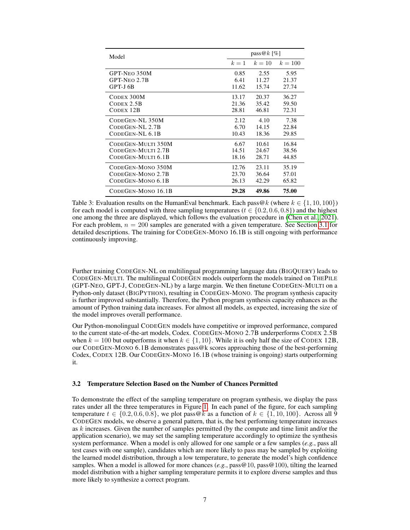<span id="page-6-0"></span>

| Model                | $pass@k$ [%] |        |           |  |
|----------------------|--------------|--------|-----------|--|
|                      | $k=1$        | $k=10$ | $k = 100$ |  |
| GPT-NEO 350M         | 0.85         | 2.55   | 5.95      |  |
| GPT-NEO 2.7B         | 6.41         | 11.27  | 21.37     |  |
| GPT-J <sub>6</sub> B | 11.62        | 15.74  | 27.74     |  |
| CODEX 300M           | 13.17        | 20.37  | 36.27     |  |
| $C$ ODEX $2.5B$      | 21.36        | 35.42  | 59.50     |  |
| CODEX 12B            | 28.81        | 46.81  | 72.31     |  |
| CODEGEN-NL 350M      | 2.12         | 4.10   | 7.38      |  |
| CODEGEN-NL 2.7B      | 6.70         | 14.15  | 22.84     |  |
| CODEGEN-NL 6.1B      | 10.43        | 18.36  | 29.85     |  |
| CODEGEN-MULTI 350M   | 6.67         | 10.61  | 16.84     |  |
| CODEGEN-MULTI 2.7B   | 14.51        | 24.67  | 38.56     |  |
| CODEGEN-MULTI 6.1B   | 18.16        | 28.71  | 44.85     |  |
| CODEGEN-MONO 350M    | 12.76        | 23.11  | 35.19     |  |
| CODEGEN-MONO 2.7B    | 23.70        | 36.64  | 57.01     |  |
| CODEGEN-MONO 6.1B    | 26.13        | 42.29  | 65.82     |  |
| CODEGEN-MONO 16.1B   | 29.28        | 49.86  | 75.00     |  |

Table 3: Evaluation results on the HumanEval benchmark. Each pass  $@k$  (where  $k \in \{1, 10, 100\}$ ) for each model is computed with three sampling temperatures ( $t \in \{0.2, 0.6, 0.8\}$ ) and the highest one among the three are displayed, which follows the evaluation procedure in [\(Chen et al., 2021\)](#page-13-8). For each problem,  $n = 200$  samples are generated with a given temperature. See Section [3.1](#page-5-1) for detailed descriptions. The training for CODEGEN-MONO 16.1B is still ongoing with performance continuously improving.

Further training CODEGEN-NL on multilingual programming language data (BIGQUERY) leads to CODEGEN-MULTI. The multilingual CODEGEN models outperform the models trained on THEPILE (GPT-NEO, GPT-J, CODEGEN-NL) by a large margin. We then finetune CODEGEN-MULTI on a Python-only dataset (BIGPYTHON), resulting in CODEGEN-MONO. The program synthesis capacity is further improved substantially. Therefore, the Python program synthesis capacity enhances as the amount of Python training data increases. For almost all models, as expected, increasing the size of the model improves overall performance.

Our Python-monolingual CODEGEN models have competitive or improved performance, compared to the current state-of-the-art models, Codex. CODEGEN-MONO 2.7B underperforms CODEX 2.5B when  $k = 100$  but outperforms it when  $k \in \{1, 10\}$ . While it is only half the size of CODEX 12B, our CODEGEN-MONO 6.1B demonstrates pass@k scores approaching those of the best-performing Codex, CODEX 12B. Our CODEGEN-MONO 16.1B (whose training is ongoing) starts outperforming it.

### <span id="page-6-1"></span>3.2 Temperature Selection Based on the Number of Chances Permitted

To demonstrate the effect of the sampling temperature on program synthesis, we display the pass rates under all the three temperatures in Figure [1.](#page-7-1) In each panel of the figure, for each sampling temperature  $t \in \{0.2, 0.6, 0.8\}$ , we plot pass@k as a function of  $k \in \{1, 10, 100\}$ . Across all 9 CODEGEN models, we observe a general pattern, that is, the best performing temperature increases as k increases. Given the number of samples permitted (by the compute and time limit and/or the application scenario), we may set the sampling temperature accordingly to optimize the synthesis system performance. When a model is only allowed for one sample or a few samples (*e.g.*, pass all test cases with one sample), candidates which are more likely to pass may be sampled by exploiting the learned model distribution, through a low temperature, to generate the model's high confidence samples. When a model is allowed for more chances  $(e.g., pass@10, pass@100)$ , tilting the learned model distribution with a higher sampling temperature permits it to explore diverse samples and thus more likely to synthesize a correct program.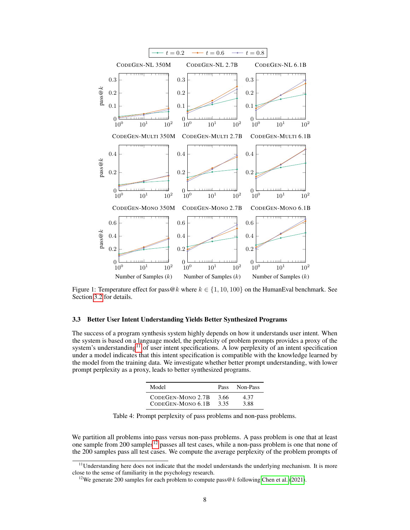<span id="page-7-1"></span>

Figure 1: Temperature effect for pass  $@k$  where  $k \in \{1, 10, 100\}$  on the HumanEval benchmark. See Section [3.2](#page-6-1) for details.

## <span id="page-7-0"></span>3.3 Better User Intent Understanding Yields Better Synthesized Programs

<span id="page-7-4"></span>The success of a program synthesis system highly depends on how it understands user intent. When the system is based on a language model, the perplexity of problem prompts provides a proxy of the system's understanding<sup>[11](#page-7-2)</sup> of user intent specifications. A low perplexity of an intent specification under a model indicates that this intent specification is compatible with the knowledge learned by the model from the training data. We investigate whether better prompt understanding, with lower prompt perplexity as a proxy, leads to better synthesized programs.

| Model             | Pass | Non-Pass |
|-------------------|------|----------|
| CODEGEN-MONO 2.7B | 3.66 | 4.37     |
| CODEGEN-MONO 6.1B | 3.35 | 3.88     |

Table 4: Prompt perplexity of pass problems and non-pass problems.

We partition all problems into pass versus non-pass problems. A pass problem is one that at least one sample from 200 samples<sup>[12](#page-7-3)</sup> passes all test cases, while a non-pass problem is one that none of the 200 samples pass all test cases. We compute the average perplexity of the problem prompts of

<span id="page-7-2"></span>Understanding here does not indicate that the model understands the underlying mechanism. It is more close to the sense of familiarity in the psychology research.

<span id="page-7-3"></span><sup>&</sup>lt;sup>12</sup>We generate 200 samples for each problem to compute pass  $@k$  following [Chen et al.](#page-13-8) [\(2021\)](#page-13-8).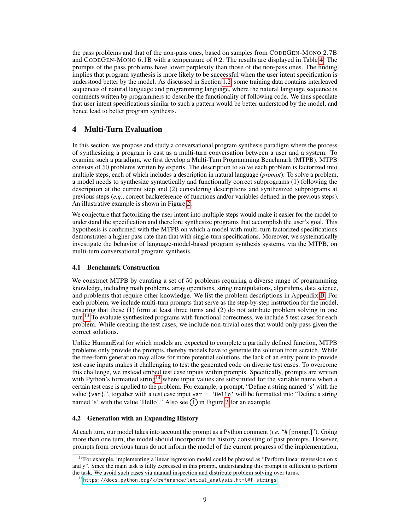the pass problems and that of the non-pass ones, based on samples from CODEGEN-MONO 2.7B and CODEGEN-MONO 6.1B with a temperature of 0.2. The results are displayed in Table [4.](#page-7-4) The prompts of the pass problems have lower perplexity than those of the non-pass ones. The finding implies that program synthesis is more likely to be successful when the user intent specification is understood better by the model. As discussed in Section [1.2,](#page-1-1) some training data contains interleaved sequences of natural language and programming language, where the natural language sequence is comments written by programmers to describe the functionality of following code. We thus speculate that user intent specifications similar to such a pattern would be better understood by the model, and hence lead to better program synthesis.

# 4 Multi-Turn Evaluation

In this section, we propose and study a conversational program synthesis paradigm where the process of synthesizing a program is cast as a multi-turn conversation between a user and a system. To examine such a paradigm, we first develop a Multi-Turn Programming Benchmark (MTPB). MTPB consists of 50 problems written by experts. The description to solve each problem is factorized into multiple steps, each of which includes a description in natural language (*prompt*). To solve a problem, a model needs to synthesize syntactically and functionally correct subprograms (1) following the description at the current step and (2) considering descriptions and synthesized subprograms at previous steps (*e.g.*, correct backreference of functions and/or variables defined in the previous steps). An illustrative example is shown in Figure [2.](#page-9-0)

We conjecture that factorizing the user intent into multiple steps would make it easier for the model to understand the specification and therefore synthesize programs that accomplish the user's goal. This hypothesis is confirmed with the MTPB on which a model with multi-turn factorized specifications demonstrates a higher pass rate than that with single-turn specifications. Moreover, we systematically investigate the behavior of language-model-based program synthesis systems, via the MTPB, on multi-turn conversational program synthesis.

## 4.1 Benchmark Construction

We construct MTPB by curating a set of 50 problems requiring a diverse range of programming knowledge, including math problems, array operations, string manipulations, algorithms, data science, and problems that require other knowledge. We list the problem descriptions in Appendix [B.](#page-17-0) For each problem, we include multi-turn prompts that serve as the step-by-step instruction for the model, ensuring that these (1) form at least three turns and (2) do not attribute problem solving in one turn.<sup>[13](#page-8-0)</sup> To evaluate synthesized programs with functional correctness, we include 5 test cases for each problem. While creating the test cases, we include non-trivial ones that would only pass given the correct solutions.

Unlike HumanEval for which models are expected to complete a partially defined function, MTPB problems only provide the prompts, thereby models have to generate the solution from scratch. While the free-form generation may allow for more potential solutions, the lack of an entry point to provide test case inputs makes it challenging to test the generated code on diverse test cases. To overcome this challenge, we instead embed test case inputs within prompts. Specifically, prompts are written with Python's formatted string<sup>[14](#page-8-1)</sup> where input values are substituted for the variable name when a certain test case is applied to the problem. For example, a prompt, "Define a string named 's' with the value {var}.", together with a test case input var = 'Hello' will be formatted into "Define a string named 's' with the value 'Hello'." Also see  $(1)$  in Figure [2](#page-9-0) for an example.

#### 4.2 Generation with an Expanding History

At each turn, our model takes into account the prompt as a Python comment (*i.e.* "# [prompt]"). Going more than one turn, the model should incorporate the history consisting of past prompts. However, prompts from previous turns do not inform the model of the current progress of the implementation,

<span id="page-8-0"></span> $13$  For example, implementing a linear regression model could be phrased as "Perform linear regression on x and y". Since the main task is fully expressed in this prompt, understanding this prompt is sufficient to perform the task. We avoid such cases via manual inspection and distribute problem solving over turns.

<span id="page-8-1"></span><sup>14</sup>[https://docs.python.org/3/reference/lexical\\_analysis.html#f-strings](https://docs.python.org/3/reference/lexical_analysis.html##f-strings)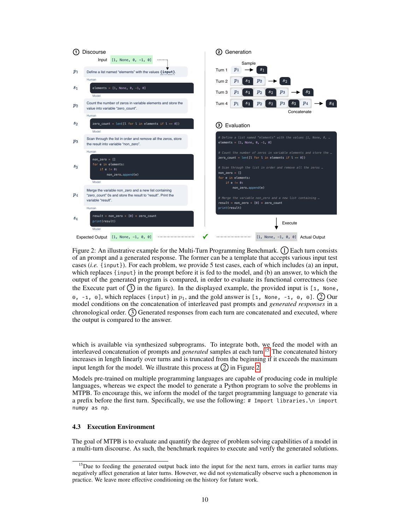<span id="page-9-0"></span>

Figure 2: An illustrative example for the Multi-Turn Programming Benchmark.  $(1)$  Each turn consists of an prompt and a generated response. The former can be a template that accepts various input test cases (*i.e.* {input}). For each problem, we provide 5 test cases, each of which includes (a) an input, which replaces {input} in the prompt before it is fed to the model, and (b) an answer, to which the output of the generated program is compared, in order to evaluate its functional correctness (see the Execute part of  $(3)$  in the figure). In the displayed example, the provided input is [1, None,  $\circ$ , -1,  $\circ$ ], which replaces {input} in  $p_1$ , and the gold answer is [1, None, -1,  $\circ$ ,  $\circ$ ]. (2) Our model conditions on the concatenation of interleaved past prompts and *generated responses* in a chronological order.  $(3)$  Generated responses from each turn are concatenated and executed, where the output is compared to the answer.

which is available via synthesized subprograms. To integrate both, we feed the model with an interleaved concatenation of prompts and *generated* samples at each turn.[15](#page-9-1) The concatenated history increases in length linearly over turns and is truncated from the beginning if it exceeds the maximum input length for the model. We illustrate this process at  $(2)$  in Figure [2.](#page-9-0)

Models pre-trained on multiple programming languages are capable of producing code in multiple languages, whereas we expect the model to generate a Python program to solve the problems in MTPB. To encourage this, we inform the model of the target programming language to generate via a prefix before the first turn. Specifically, we use the following: # Import libraries.\n import numpy as np.

### 4.3 Execution Environment

The goal of MTPB is to evaluate and quantify the degree of problem solving capabilities of a model in a multi-turn discourse. As such, the benchmark requires to execute and verify the generated solutions.

<span id="page-9-1"></span><sup>&</sup>lt;sup>15</sup>Due to feeding the generated output back into the input for the next turn, errors in earlier turns may negatively affect generation at later turns. However, we did not systematically observe such a phenomenon in practice. We leave more effective conditioning on the history for future work.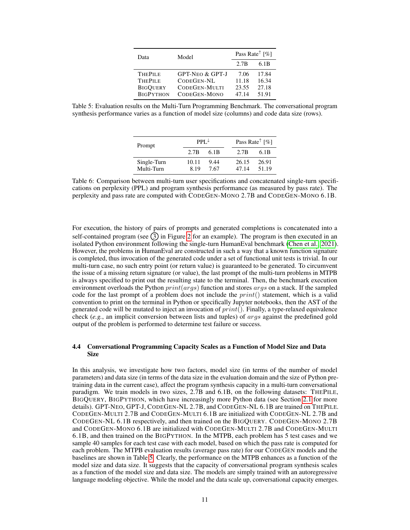| Data                                                                    | Model                                                                            | Pass Rate <sup><math>\uparrow</math></sup> [%] |                                  |  |
|-------------------------------------------------------------------------|----------------------------------------------------------------------------------|------------------------------------------------|----------------------------------|--|
|                                                                         |                                                                                  | 2.7B                                           | 6.1B                             |  |
| <b>THEPILE</b><br><b>THEPILE</b><br><b>BIGQUERY</b><br><b>BIGPYTHON</b> | <b>GPT-NEO &amp; GPT-J</b><br>CODEGEN-NL<br><b>CODEGEN-MULTI</b><br>CODEGEN-MONO | 7.06<br>11.18<br>23.55<br>47.14                | 17.84<br>16.34<br>27.18<br>51.91 |  |

<span id="page-10-1"></span><span id="page-10-0"></span>Table 5: Evaluation results on the Multi-Turn Programming Benchmark. The conversational program synthesis performance varies as a function of model size (columns) and code data size (rows).

| Prompt                    | $PPI \neq$     |              |                | Pass Rate <sup><math>\uparrow</math></sup> [%] |  |  |
|---------------------------|----------------|--------------|----------------|------------------------------------------------|--|--|
|                           | 2.7B           | 6.1B         | 2.7B           | 6.1B                                           |  |  |
| Single-Turn<br>Multi-Turn | 10.11<br>8 1 9 | 9.44<br>7.67 | 26.15<br>47.14 | 26.91<br>51.19                                 |  |  |

Table 6: Comparison between multi-turn user specifications and concatenated single-turn specifications on perplexity (PPL) and program synthesis performance (as measured by pass rate). The perplexity and pass rate are computed with CODEGEN-MONO 2.7B and CODEGEN-MONO 6.1B.

For execution, the history of pairs of prompts and generated completions is concatenated into a self-contained program (see  $(3)$  in Figure [2](#page-9-0) for an example). The program is then executed in an isolated Python environment following the single-turn HumanEval benchmark [\(Chen et al., 2021\)](#page-13-8). However, the problems in HumanEval are constructed in such a way that a known function signature is completed, thus invocation of the generated code under a set of functional unit tests is trivial. In our multi-turn case, no such entry point (or return value) is guaranteed to be generated. To circumvent the issue of a missing return signature (or value), the last prompt of the multi-turn problems in MTPB is always specified to print out the resulting state to the terminal. Then, the benchmark execution environment overloads the Python  $print(args)$  function and stores  $args$  on a stack. If the sampled code for the last prompt of a problem does not include the  $print()$  statement, which is a valid convention to print on the terminal in Python or specifically Jupyter notebooks, then the AST of the generated code will be mutated to inject an invocation of  $print()$ . Finally, a type-relaxed equivalence check (*e.g.*, an implicit conversion between lists and tuples) of args against the predefined gold output of the problem is performed to determine test failure or success.

## 4.4 Conversational Programming Capacity Scales as a Function of Model Size and Data **Size**

In this analysis, we investigate how two factors, model size (in terms of the number of model parameters) and data size (in terms of the data size in the evaluation domain and the size of Python pretraining data in the current case), affect the program synthesis capacity in a multi-turn conversational paradigm. We train models in two sizes, 2.7B and 6.1B, on the following datasets: THEPILE, BIGQUERY, BIGPYTHON, which have increasingly more Python data (see Section [2.1](#page-3-3) for more details). GPT-NEO, GPT-J, CODEGEN-NL 2.7B, and CODEGEN-NL 6.1B are trained on THEPILE. CODEGEN-MULTI 2.7B and CODEGEN-MULTI 6.1B are initialized with CODEGEN-NL 2.7B and CODEGEN-NL 6.1B respectively, and then trained on the BIGQUERY. CODEGEN-MONO 2.7B and CODEGEN-MONO 6.1B are initialized with CODEGEN-MULTI 2.7B and CODEGEN-MULTI 6.1B, and then trained on the BIGPYTHON. In the MTPB, each problem has 5 test cases and we sample 40 samples for each test case with each model, based on which the pass rate is computed for each problem. The MTPB evaluation results (average pass rate) for our CODEGEN models and the baselines are shown in Table [5.](#page-10-0) Clearly, the performance on the MTPB enhances as a function of the model size and data size. It suggests that the capacity of conversational program synthesis scales as a function of the model size and data size. The models are simply trained with an autoregressive language modeling objective. While the model and the data scale up, conversational capacity emerges.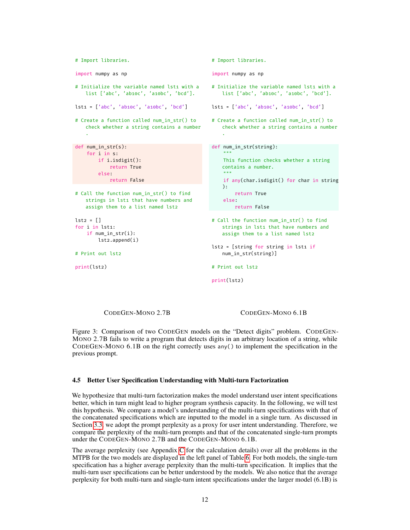```
# Import libraries.
import numpy as np
# Initialize the variable named lst1 with a
   list ['abc', 'ab10c', 'a10bc', 'bcd'].
lst1 = ['abc', 'ab10c', 'a10bc', 'bcd']
# Create a function called num in str() to
   check whether a string contains a number
   .
def num in str(s):
    for i in s:
       if i.isdigit():
           return True
       else:
       return False
# Call the function num_in_str() to find
   strings in lst1 that have numbers and
   assign them to a list named lst2
let2 = [1]for i in lst1:
   if num in str(i):
       lst2.append(i)
# Print out lst2
print(lst2)
                                                # Import libraries.
                                                import numpy as np
                                                # Initialize the variable named lst1 with a
                                                   list ['abc', 'ab10c', 'a10bc', 'bcd'].
                                                lst1 = ['abc', 'ab10c', 'a10bc', 'bcd']
                                                # Create a function called num in str() to
                                                   check whether a string contains a number
                                                    .
                                                def num_in_str(string):
                                                    """
                                                    This function checks whether a string
                                                   contains a number.
                                                    "" ""
                                                    if any(char.isdigit() for char in string
                                                    ):
                                                        return True
                                                    else:
                                                      return False
                                                # Call the function num_in_str() to find
                                                   strings in lst1 that have numbers and
                                                   assign them to a list named lst2
                                                lst2 = [string for string in lst1 ifnum_in_str(string)]
                                                # Print out lst2
                                                print(lst2)
```
CODEGEN-MONO 2.7B CODEGEN-MONO 6.1B

Figure 3: Comparison of two CODEGEN models on the "Detect digits" problem. CODEGEN-MONO 2.7B fails to write a program that detects digits in an arbitrary location of a string, while CODEGEN-MONO 6.1B on the right correctly uses any() to implement the specification in the previous prompt.

#### 4.5 Better User Specification Understanding with Multi-turn Factorization

We hypothesize that multi-turn factorization makes the model understand user intent specifications better, which in turn might lead to higher program synthesis capacity. In the following, we will test this hypothesis. We compare a model's understanding of the multi-turn specifications with that of the concatenated specifications which are inputted to the model in a single turn. As discussed in Section [3.3,](#page-7-0) we adopt the prompt perplexity as a proxy for user intent understanding. Therefore, we compare the perplexity of the multi-turn prompts and that of the concatenated single-turn prompts under the CODEGEN-MONO 2.7B and the CODEGEN-MONO 6.1B.

The average perplexity (see Appendix [C](#page-18-0) for the calculation details) over all the problems in the MTPB for the two models are displayed in the left panel of Table [6.](#page-10-1) For both models, the single-turn specification has a higher average perplexity than the multi-turn specification. It implies that the multi-turn user specifications can be better understood by the models. We also notice that the average perplexity for both multi-turn and single-turn intent specifications under the larger model (6.1B) is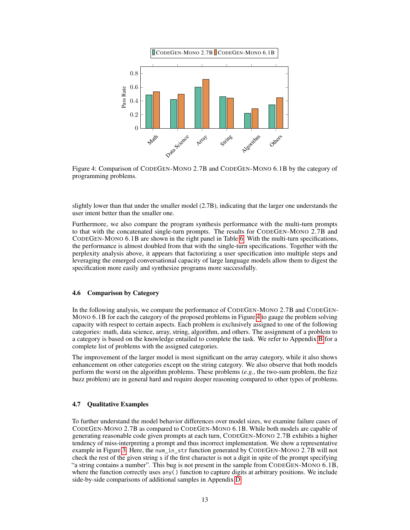<span id="page-12-0"></span>

Figure 4: Comparison of CODEGEN-MONO 2.7B and CODEGEN-MONO 6.1B by the category of programming problems.

slightly lower than that under the smaller model (2.7B), indicating that the larger one understands the user intent better than the smaller one.

Furthermore, we also compare the program synthesis performance with the multi-turn prompts to that with the concatenated single-turn prompts. The results for CODEGEN-MONO 2.7B and CODEGEN-MONO 6.1B are shown in the right panel in Table [6.](#page-10-1) With the multi-turn specifications, the performance is almost doubled from that with the single-turn specifications. Together with the perplexity analysis above, it appears that factorizing a user specification into multiple steps and leveraging the emerged conversational capacity of large language models allow them to digest the specification more easily and synthesize programs more successfully.

#### 4.6 Comparison by Category

In the following analysis, we compare the performance of CODEGEN-MONO 2.7B and CODEGEN-MONO 6.1B for each the category of the proposed problems in Figure [4](#page-12-0) to gauge the problem solving capacity with respect to certain aspects. Each problem is exclusively assigned to one of the following categories: math, data science, array, string, algorithm, and others. The assignment of a problem to a category is based on the knowledge entailed to complete the task. We refer to Appendix [B](#page-17-0) for a complete list of problems with the assigned categories.

The improvement of the larger model is most significant on the array category, while it also shows enhancement on other categories except on the string category. We also observe that both models perform the worst on the algorithm problems. These problems (*e.g.*, the two-sum problem, the fizz buzz problem) are in general hard and require deeper reasoning compared to other types of problems.

#### 4.7 Qualitative Examples

To further understand the model behavior differences over model sizes, we examine failure cases of CODEGEN-MONO 2.7B as compared to CODEGEN-MONO 6.1B. While both models are capable of generating reasonable code given prompts at each turn, CODEGEN-MONO 2.7B exhibits a higher tendency of miss-interpreting a prompt and thus incorrect implementation. We show a representative example in Figure [3.](#page-11-0) Here, the num\_in\_str function generated by CODEGEN-MONO 2.7B will not check the rest of the given string s if the first character is not a digit in spite of the prompt specifying "a string contains a number". This bug is not present in the sample from CODEGEN-MONO 6.1B, where the function correctly uses any() function to capture digits at arbitrary positions. We include side-by-side comparisons of additional samples in Appendix [D.](#page-19-0)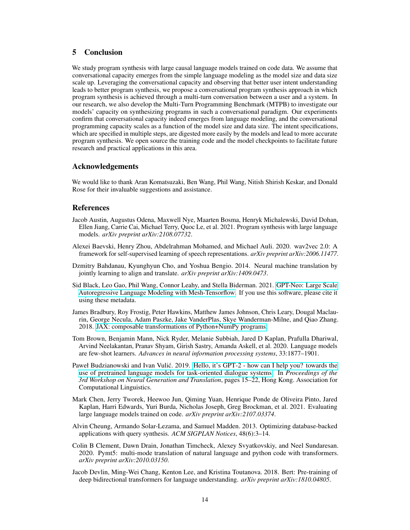# 5 Conclusion

We study program synthesis with large causal language models trained on code data. We assume that conversational capacity emerges from the simple language modeling as the model size and data size scale up. Leveraging the conversational capacity and observing that better user intent understanding leads to better program synthesis, we propose a conversational program synthesis approach in which program synthesis is achieved through a multi-turn conversation between a user and a system. In our research, we also develop the Multi-Turn Programming Benchmark (MTPB) to investigate our models' capacity on synthesizing programs in such a conversational paradigm. Our experiments confirm that conversational capacity indeed emerges from language modeling, and the conversational programming capacity scales as a function of the model size and data size. The intent specifications, which are specified in multiple steps, are digested more easily by the models and lead to more accurate program synthesis. We open source the training code and the model checkpoints to facilitate future research and practical applications in this area.

## Acknowledgements

We would like to thank Aran Komatsuzaki, Ben Wang, Phil Wang, Nitish Shirish Keskar, and Donald Rose for their invaluable suggestions and assistance.

# **References**

- <span id="page-13-7"></span>Jacob Austin, Augustus Odena, Maxwell Nye, Maarten Bosma, Henryk Michalewski, David Dohan, Ellen Jiang, Carrie Cai, Michael Terry, Quoc Le, et al. 2021. Program synthesis with large language models. *arXiv preprint arXiv:2108.07732*.
- <span id="page-13-4"></span>Alexei Baevski, Henry Zhou, Abdelrahman Mohamed, and Michael Auli. 2020. wav2vec 2.0: A framework for self-supervised learning of speech representations. *arXiv preprint arXiv:2006.11477*.
- <span id="page-13-1"></span>Dzmitry Bahdanau, Kyunghyun Cho, and Yoshua Bengio. 2014. Neural machine translation by jointly learning to align and translate. *arXiv preprint arXiv:1409.0473*.
- <span id="page-13-9"></span>Sid Black, Leo Gao, Phil Wang, Connor Leahy, and Stella Biderman. 2021. [GPT-Neo: Large Scale](https://doi.org/10.5281/zenodo.5297715) [Autoregressive Language Modeling with Mesh-Tensorflow.](https://doi.org/10.5281/zenodo.5297715) If you use this software, please cite it using these metadata.
- <span id="page-13-10"></span>James Bradbury, Roy Frostig, Peter Hawkins, Matthew James Johnson, Chris Leary, Dougal Maclaurin, George Necula, Adam Paszke, Jake VanderPlas, Skye Wanderman-Milne, and Qiao Zhang. 2018. [JAX: composable transformations of Python+NumPy programs.](http://github.com/google/jax)
- <span id="page-13-3"></span>Tom Brown, Benjamin Mann, Nick Ryder, Melanie Subbiah, Jared D Kaplan, Prafulla Dhariwal, Arvind Neelakantan, Pranav Shyam, Girish Sastry, Amanda Askell, et al. 2020. Language models are few-shot learners. *Advances in neural information processing systems*, 33:1877–1901.
- <span id="page-13-6"></span>Paweł Budzianowski and Ivan Vulić. 2019. [Hello, it's GPT-2 - how can I help you? towards the](https://doi.org/10.18653/v1/D19-5602) [use of pretrained language models for task-oriented dialogue systems.](https://doi.org/10.18653/v1/D19-5602) In *Proceedings of the 3rd Workshop on Neural Generation and Translation*, pages 15–22, Hong Kong. Association for Computational Linguistics.
- <span id="page-13-8"></span>Mark Chen, Jerry Tworek, Heewoo Jun, Qiming Yuan, Henrique Ponde de Oliveira Pinto, Jared Kaplan, Harri Edwards, Yuri Burda, Nicholas Joseph, Greg Brockman, et al. 2021. Evaluating large language models trained on code. *arXiv preprint arXiv:2107.03374*.
- <span id="page-13-0"></span>Alvin Cheung, Armando Solar-Lezama, and Samuel Madden. 2013. Optimizing database-backed applications with query synthesis. *ACM SIGPLAN Notices*, 48(6):3–14.
- <span id="page-13-5"></span>Colin B Clement, Dawn Drain, Jonathan Timcheck, Alexey Svyatkovskiy, and Neel Sundaresan. 2020. Pymt5: multi-mode translation of natural language and python code with transformers. *arXiv preprint arXiv:2010.03150*.
- <span id="page-13-2"></span>Jacob Devlin, Ming-Wei Chang, Kenton Lee, and Kristina Toutanova. 2018. Bert: Pre-training of deep bidirectional transformers for language understanding. *arXiv preprint arXiv:1810.04805*.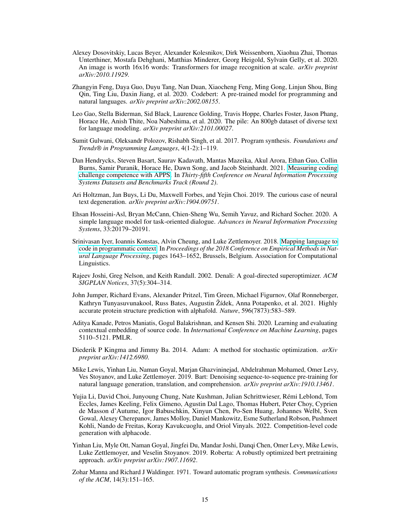- <span id="page-14-5"></span>Alexey Dosovitskiy, Lucas Beyer, Alexander Kolesnikov, Dirk Weissenborn, Xiaohua Zhai, Thomas Unterthiner, Mostafa Dehghani, Matthias Minderer, Georg Heigold, Sylvain Gelly, et al. 2020. An image is worth 16x16 words: Transformers for image recognition at scale. *arXiv preprint arXiv:2010.11929*.
- <span id="page-14-8"></span>Zhangyin Feng, Daya Guo, Duyu Tang, Nan Duan, Xiaocheng Feng, Ming Gong, Linjun Shou, Bing Qin, Ting Liu, Daxin Jiang, et al. 2020. Codebert: A pre-trained model for programming and natural languages. *arXiv preprint arXiv:2002.08155*.
- <span id="page-14-12"></span>Leo Gao, Stella Biderman, Sid Black, Laurence Golding, Travis Hoppe, Charles Foster, Jason Phang, Horace He, Anish Thite, Noa Nabeshima, et al. 2020. The pile: An 800gb dataset of diverse text for language modeling. *arXiv preprint arXiv:2101.00027*.
- <span id="page-14-1"></span>Sumit Gulwani, Oleksandr Polozov, Rishabh Singh, et al. 2017. Program synthesis. *Foundations and Trends® in Programming Languages*, 4(1-2):1–119.
- <span id="page-14-15"></span>Dan Hendrycks, Steven Basart, Saurav Kadavath, Mantas Mazeika, Akul Arora, Ethan Guo, Collin Burns, Samir Puranik, Horace He, Dawn Song, and Jacob Steinhardt. 2021. [Measuring coding](https://openreview.net/forum?id=sD93GOzH3i5) [challenge competence with APPS.](https://openreview.net/forum?id=sD93GOzH3i5) In *Thirty-fifth Conference on Neural Information Processing Systems Datasets and Benchmarks Track (Round 2)*.
- <span id="page-14-9"></span>Ari Holtzman, Jan Buys, Li Du, Maxwell Forbes, and Yejin Choi. 2019. The curious case of neural text degeneration. *arXiv preprint arXiv:1904.09751*.
- <span id="page-14-10"></span>Ehsan Hosseini-Asl, Bryan McCann, Chien-Sheng Wu, Semih Yavuz, and Richard Socher. 2020. A simple language model for task-oriented dialogue. *Advances in Neural Information Processing Systems*, 33:20179–20191.
- <span id="page-14-14"></span>Srinivasan Iyer, Ioannis Konstas, Alvin Cheung, and Luke Zettlemoyer. 2018. [Mapping language to](https://doi.org/10.18653/v1/D18-1192) [code in programmatic context.](https://doi.org/10.18653/v1/D18-1192) In *Proceedings of the 2018 Conference on Empirical Methods in Natural Language Processing*, pages 1643–1652, Brussels, Belgium. Association for Computational Linguistics.
- <span id="page-14-2"></span>Rajeev Joshi, Greg Nelson, and Keith Randall. 2002. Denali: A goal-directed superoptimizer. *ACM SIGPLAN Notices*, 37(5):304–314.
- <span id="page-14-6"></span>John Jumper, Richard Evans, Alexander Pritzel, Tim Green, Michael Figurnov, Olaf Ronneberger, Kathryn Tunyasuvunakool, Russ Bates, Augustin Žídek, Anna Potapenko, et al. 2021. Highly accurate protein structure prediction with alphafold. *Nature*, 596(7873):583–589.
- <span id="page-14-7"></span>Aditya Kanade, Petros Maniatis, Gogul Balakrishnan, and Kensen Shi. 2020. Learning and evaluating contextual embedding of source code. In *International Conference on Machine Learning*, pages 5110–5121. PMLR.
- <span id="page-14-13"></span>Diederik P Kingma and Jimmy Ba. 2014. Adam: A method for stochastic optimization. *arXiv preprint arXiv:1412.6980*.
- <span id="page-14-4"></span>Mike Lewis, Yinhan Liu, Naman Goyal, Marjan Ghazvininejad, Abdelrahman Mohamed, Omer Levy, Ves Stoyanov, and Luke Zettlemoyer. 2019. Bart: Denoising sequence-to-sequence pre-training for natural language generation, translation, and comprehension. *arXiv preprint arXiv:1910.13461*.
- <span id="page-14-11"></span>Yujia Li, David Choi, Junyoung Chung, Nate Kushman, Julian Schrittwieser, Rémi Leblond, Tom Eccles, James Keeling, Felix Gimeno, Agustin Dal Lago, Thomas Hubert, Peter Choy, Cyprien de Masson d'Autume, Igor Babuschkin, Xinyun Chen, Po-Sen Huang, Johannes Welbl, Sven Gowal, Alexey Cherepanov, James Molloy, Daniel Mankowitz, Esme Sutherland Robson, Pushmeet Kohli, Nando de Freitas, Koray Kavukcuoglu, and Oriol Vinyals. 2022. Competition-level code generation with alphacode.
- <span id="page-14-3"></span>Yinhan Liu, Myle Ott, Naman Goyal, Jingfei Du, Mandar Joshi, Danqi Chen, Omer Levy, Mike Lewis, Luke Zettlemoyer, and Veselin Stoyanov. 2019. Roberta: A robustly optimized bert pretraining approach. *arXiv preprint arXiv:1907.11692*.
- <span id="page-14-0"></span>Zohar Manna and Richard J Waldinger. 1971. Toward automatic program synthesis. *Communications of the ACM*, 14(3):151–165.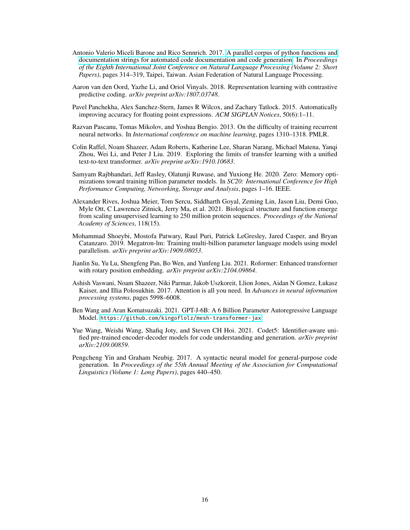- <span id="page-15-12"></span>Antonio Valerio Miceli Barone and Rico Sennrich. 2017. [A parallel corpus of python functions and](https://aclanthology.org/I17-2053) [documentation strings for automated code documentation and code generation.](https://aclanthology.org/I17-2053) In *Proceedings of the Eighth International Joint Conference on Natural Language Processing (Volume 2: Short Papers)*, pages 314–319, Taipei, Taiwan. Asian Federation of Natural Language Processing.
- <span id="page-15-3"></span>Aaron van den Oord, Yazhe Li, and Oriol Vinyals. 2018. Representation learning with contrastive predictive coding. *arXiv preprint arXiv:1807.03748*.
- <span id="page-15-0"></span>Pavel Panchekha, Alex Sanchez-Stern, James R Wilcox, and Zachary Tatlock. 2015. Automatically improving accuracy for floating point expressions. *ACM SIGPLAN Notices*, 50(6):1–11.
- <span id="page-15-10"></span>Razvan Pascanu, Tomas Mikolov, and Yoshua Bengio. 2013. On the difficulty of training recurrent neural networks. In *International conference on machine learning*, pages 1310–1318. PMLR.
- <span id="page-15-2"></span>Colin Raffel, Noam Shazeer, Adam Roberts, Katherine Lee, Sharan Narang, Michael Matena, Yanqi Zhou, Wei Li, and Peter J Liu. 2019. Exploring the limits of transfer learning with a unified text-to-text transformer. *arXiv preprint arXiv:1910.10683*.
- <span id="page-15-9"></span>Samyam Rajbhandari, Jeff Rasley, Olatunji Ruwase, and Yuxiong He. 2020. Zero: Memory optimizations toward training trillion parameter models. In *SC20: International Conference for High Performance Computing, Networking, Storage and Analysis*, pages 1–16. IEEE.
- <span id="page-15-4"></span>Alexander Rives, Joshua Meier, Tom Sercu, Siddharth Goyal, Zeming Lin, Jason Liu, Demi Guo, Myle Ott, C Lawrence Zitnick, Jerry Ma, et al. 2021. Biological structure and function emerge from scaling unsupervised learning to 250 million protein sequences. *Proceedings of the National Academy of Sciences*, 118(15).
- <span id="page-15-8"></span>Mohammad Shoeybi, Mostofa Patwary, Raul Puri, Patrick LeGresley, Jared Casper, and Bryan Catanzaro. 2019. Megatron-lm: Training multi-billion parameter language models using model parallelism. *arXiv preprint arXiv:1909.08053*.
- <span id="page-15-7"></span>Jianlin Su, Yu Lu, Shengfeng Pan, Bo Wen, and Yunfeng Liu. 2021. Roformer: Enhanced transformer with rotary position embedding. *arXiv preprint arXiv:2104.09864*.
- <span id="page-15-1"></span>Ashish Vaswani, Noam Shazeer, Niki Parmar, Jakob Uszkoreit, Llion Jones, Aidan N Gomez, Łukasz Kaiser, and Illia Polosukhin. 2017. Attention is all you need. In *Advances in neural information processing systems*, pages 5998–6008.
- <span id="page-15-6"></span>Ben Wang and Aran Komatsuzaki. 2021. GPT-J-6B: A 6 Billion Parameter Autoregressive Language Model. <https://github.com/kingoflolz/mesh-transformer-jax>.
- <span id="page-15-5"></span>Yue Wang, Weishi Wang, Shafiq Joty, and Steven CH Hoi. 2021. Codet5: Identifier-aware unified pre-trained encoder-decoder models for code understanding and generation. *arXiv preprint arXiv:2109.00859*.
- <span id="page-15-11"></span>Pengcheng Yin and Graham Neubig. 2017. A syntactic neural model for general-purpose code generation. In *Proceedings of the 55th Annual Meeting of the Association for Computational Linguistics (Volume 1: Long Papers)*, pages 440–450.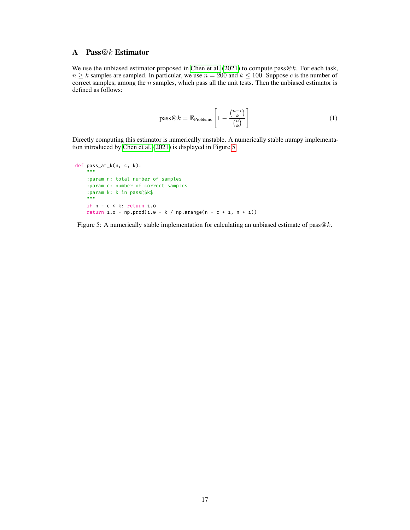# <span id="page-16-0"></span>A Pass@k Estimator

We use the unbiased estimator proposed in [Chen et al.](#page-13-8) [\(2021\)](#page-13-8) to compute pass  $@k$ . For each task,  $n \geq k$  samples are sampled. In particular, we use  $n = 200$  and  $k \leq 100$ . Suppose c is the number of correct samples, among the  $n$  samples, which pass all the unit tests. Then the unbiased estimator is defined as follows:

$$
pass@k = \mathbb{E}_{\text{Problems}} \left[ 1 - \frac{\binom{n-c}{k}}{\binom{n}{k}} \right] \tag{1}
$$

Directly computing this estimator is numerically unstable. A numerically stable numpy implementation introduced by [Chen et al.](#page-13-8) [\(2021\)](#page-13-8) is displayed in Figure [5.](#page-16-1)

```
def pass_at_k(n, c, k):
    """
   :param n: total number of samples
   :param c: number of correct samples
   :param k: k in pass@$k$
    """
    if n - c < k: return 1.0
   return 1.0 - np.prod(1.0 - k / np.arange(n - c + 1, n + 1))
```
Figure 5: A numerically stable implementation for calculating an unbiased estimate of pass $@k$ .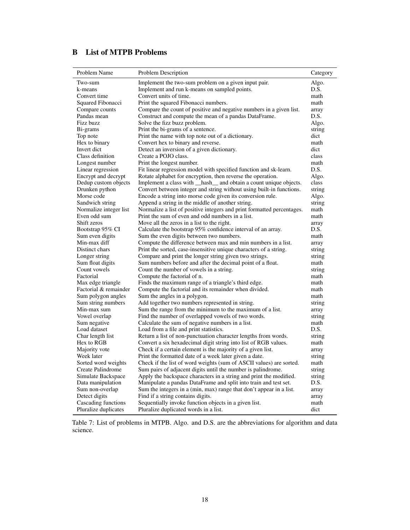# <span id="page-17-0"></span>B List of MTPB Problems

| Problem Name           | Problem Description                                                    | Category |
|------------------------|------------------------------------------------------------------------|----------|
| Two-sum                | Implement the two-sum problem on a given input pair.                   | Algo.    |
| k-means                | Implement and run k-means on sampled points.                           | D.S.     |
| Convert time           | Convert units of time.                                                 | math     |
| Squared Fibonacci      | Print the squared Fibonacci numbers.                                   | math     |
| Compare counts         | Compare the count of positive and negative numbers in a given list.    | array    |
| Pandas mean            | Construct and compute the mean of a pandas DataFrame.                  | D.S.     |
| Fizz buzz              | Solve the fizz buzz problem.                                           | Algo.    |
| Bi-grams               | Print the bi-grams of a sentence.                                      | string   |
| Top note               | Print the name with top note out of a dictionary.                      | dict     |
| Hex to binary          | Convert hex to binary and reverse.                                     | math     |
| Invert dict            | Detect an inversion of a given dictionary.                             | dict     |
| Class definition       | Create a POJO class.                                                   | class    |
| Longest number         | Print the longest number.                                              | math     |
| Linear regression      | Fit linear regression model with specified function and sk-learn.      | D.S.     |
| Encrypt and decrypt    | Rotate alphabet for encryption, then reverse the operation.            | Algo.    |
| Dedup custom objects   | Implement a class with _hash_ and obtain a count unique objects.       | class    |
| Drunken python         | Convert between integer and string without using built-in functions.   | string   |
| Morse code             | Encode a string into morse code given its conversion rule.             | Algo.    |
| Sandwich string        | Append a string in the middle of another string.                       | string   |
| Normalize integer list | Normalize a list of positive integers and print formatted percentages. | math     |
| Even odd sum           | Print the sum of even and odd numbers in a list.                       | math     |
| Shift zeros            | Move all the zeros in a list to the right.                             | array    |
| Bootstrap 95% CI       | Calculate the bootstrap 95% confidence interval of an array.           | D.S.     |
| Sum even digits        | Sum the even digits between two numbers.                               | math     |
| Min-max diff           | Compute the difference between max and min numbers in a list.          | array    |
| Distinct chars         | Print the sorted, case-insensitive unique characters of a string.      | string   |
| Longer string          | Compare and print the longer string given two strings.                 | string   |
| Sum float digits       | Sum numbers before and after the decimal point of a float.             | math     |
| Count vowels           | Count the number of vowels in a string.                                | string   |
| Factorial              | Compute the factorial of n.                                            | math     |
| Max edge triangle      | Finds the maximum range of a triangle's third edge.                    | math     |
| Factorial & remainder  | Compute the factorial and its remainder when divided.                  | math     |
| Sum polygon angles     | Sum the angles in a polygon.                                           | math     |
| Sum string numbers     | Add together two numbers represented in string.                        | string   |
| Min-max sum            | Sum the range from the minimum to the maximum of a list.               | array    |
| Vowel overlap          | Find the number of overlapped vowels of two words.                     | string   |
| Sum negative           | Calculate the sum of negative numbers in a list.                       | math     |
| Load dataset           | Load from a file and print statistics.                                 | D.S.     |
| Char length list       | Return a list of non-punctuation character lengths from words.         | string   |
| Hex to RGB             | Convert a six hexadecimal digit string into list of RGB values.        | math     |
| Majority vote          | Check if a certain element is the majority of a given list.            | array    |
| Week later             | Print the formatted date of a week later given a date.                 | string   |
| Sorted word weights    | Check if the list of word weights (sum of ASCII values) are sorted.    | math     |
| Create Palindrome      | Sum pairs of adjacent digits until the number is palindrome.           | string   |
| Simulate Backspace     | Apply the backspace characters in a string and print the modified.     | string   |
| Data manipulation      | Manipulate a pandas DataFrame and split into train and test set.       | D.S.     |
| Sum non-overlap        | Sum the integers in a (min, max) range that don't appear in a list.    | array    |
| Detect digits          | Find if a string contains digits.                                      | array    |
| Cascading functions    | Sequentially invoke function objects in a given list.                  | math     |
| Pluralize duplicates   | Pluralize duplicated words in a list.                                  | dict     |

Table 7: List of problems in MTPB. Algo. and D.S. are the abbreviations for algorithm and data science.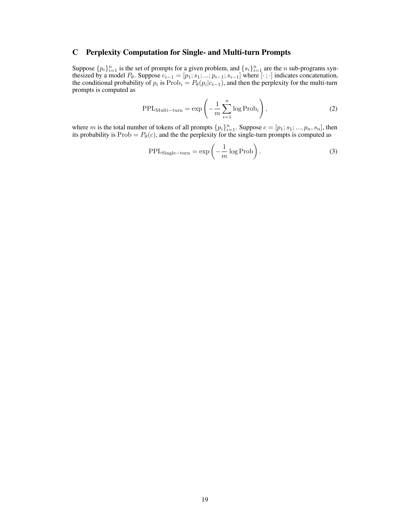# <span id="page-18-0"></span>C Perplexity Computation for Single- and Multi-turn Prompts

Suppose  $\{p_i\}_{i=1}^n$  is the set of prompts for a given problem, and  $\{s_i\}_{i=1}^n$  are the *n* sub-programs synthesized by a model  $P_{\theta}$ . Suppose  $c_{i-1} = [p_1; s_1; ...; p_{i-1}; s_{i-1}]$  where  $[\cdot; \cdot]$  indicates concatenation, the conditional probability of  $p_i$  is  $\text{Prob}_i = P_{\theta}(p_i|c_{i-1})$ , and then the perplexity for the multi-turn prompts is computed as

$$
PPL_{Multi-turn} = \exp\left(-\frac{1}{m}\sum_{i=1}^{n}\log Prob_i\right),\tag{2}
$$

where m is the total number of tokens of all prompts  $\{p_i\}_{i=1}^n$ . Suppose  $c = [p_1; s_1; ..., p_n, s_n]$ , then its probability is  $Prob = P_{\theta}(c)$ , and the the perplexity for the single-turn prompts is computed as

$$
PPLSingle-turn = \exp\left(-\frac{1}{m}\log\text{Prob}\right).
$$
 (3)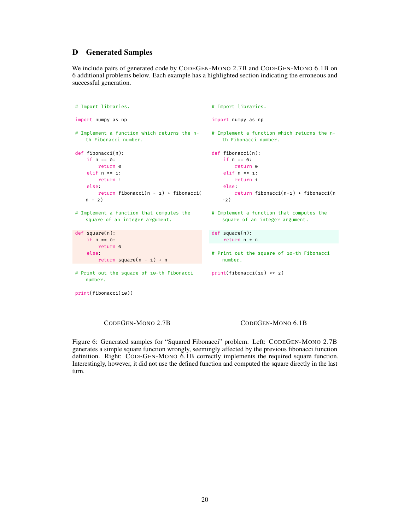# <span id="page-19-0"></span>D Generated Samples

We include pairs of generated code by CODEGEN-MONO 2.7B and CODEGEN-MONO 6.1B on 6 additional problems below. Each example has a highlighted section indicating the erroneous and successful generation.

```
# Import libraries.
import numpy as np
# Implement a function which returns the n-
   th Fibonacci number.
def fibonacci(n):
   if n == 0:
        return 0
    elif n == 1:
        return 1
    else:
       return fibonacci(n - 1) + fibonacci(
   n - 2)# Implement a function that computes the
   square of an integer argument.
def square(n):
    if n == 0:
       return 0
   else:
       return square(n - 1) + n
# Print out the square of 10-th Fibonacci
   number.
print(fibonacci(10))
                                                # Import libraries.
                                                import numpy as np
                                                # Implement a function which returns the n-
                                                    th Fibonacci number.
                                                def fibonacci(n):
                                                    if n == 0:
                                                        return 0
                                                    elif n == 1:
                                                        return 1
                                                    else:
                                                        return fibonacci(n-1) + fibonacci(n
                                                    -2)
                                                # Implement a function that computes the
                                                   square of an integer argument.
                                                def square(n):
                                                    return n * n
                                                # Print out the square of 10-th Fibonacci
                                                    number.
                                                print(fibonacci(10) ** 2)
```
CODEGEN-MONO 2.7B CODEGEN-MONO 6.1B

Figure 6: Generated samples for "Squared Fibonacci" problem. Left: CODEGEN-MONO 2.7B generates a simple square function wrongly, seemingly affected by the previous fibonacci function definition. Right: CODEGEN-MONO 6.1B correctly implements the required square function. Interestingly, however, it did not use the defined function and computed the square directly in the last turn.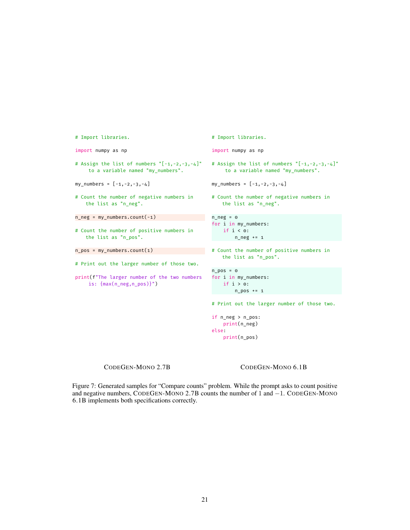```
# Import libraries.
import numpy as np
# Assign the list of numbers "[-1,-2,-3,-4]"
    to a variable named "my_numbers".
my_numbers = [-1,-2,-3,-4]
# Count the number of negative numbers in
   the list as "n_neg".
n_neg = my_numbers.count(-1)
# Count the number of positive numbers in
   the list as "n_pos".
n_pos = my_numbers.count(1)
# Print out the larger number of those two.
print(f"The larger number of the two numbers
    is: {max(n_neg,n_pos)}")
                                               # Import libraries.
                                               import numpy as np
                                               # Assign the list of numbers "[-1,-2,-3,-4]"
                                                    to a variable named "my_numbers".
                                               my_numbers = [-1,-2,-3,-4]
                                               # Count the number of negative numbers in
                                                   the list as "n_neg".
                                               n_{-}neg = \circfor i in my_numbers:
                                                   if i < 0:
                                                   n_neg += 1
                                               # Count the number of positive numbers in
                                                   the list as "n_pos".
                                               n pos = 0
                                               for i in my_numbers:
                                                  if i > 0:
                                                 n_ppos += 1
                                               # Print out the larger number of those two.
                                               if n_neg > n_pos:
                                                   print(n_neg)
                                               else:
                                                   print(n_pos)
```
CODEGEN-MONO 2.7B CODEGEN-MONO 6.1B

Figure 7: Generated samples for "Compare counts" problem. While the prompt asks to count positive and negative numbers, CODEGEN-MONO 2.7B counts the number of 1 and −1. CODEGEN-MONO 6.1B implements both specifications correctly.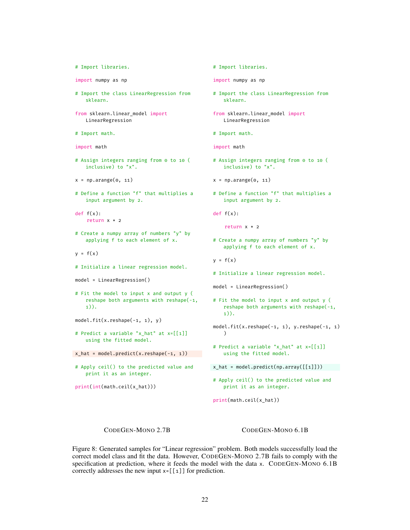```
# Import libraries.
```
import numpy as np

- # Import the class LinearRegression from sklearn.
- from sklearn.linear\_model import LinearRegression
- # Import math.

import math

# Assign integers ranging from 0 to 10 ( inclusive) to "x".

 $x = np.arange(0, 11)$ 

# Define a function "f" that multiplies a input argument by 2.

def  $f(x)$ : return x \* 2

- # Create a numpy array of numbers "y" by applying f to each element of x.
- $y = f(x)$
- # Initialize a linear regression model.

```
model = LinearRegression()
```
- # Fit the model to input x and output y ( reshape both arguments with reshape(-1, 1)).
- $model.fit(x.read) = ( -1, 1), y)$
- # Predict a variable "x\_hat" at x=[[1]] using the fitted model.

 $x_hat = model.predict(x.read)$ 

# Apply ceil() to the predicted value and print it as an integer.

print(int(math.ceil(x\_hat)))

# Import libraries.

import numpy as np

- # Import the class LinearRegression from sklearn.
- from sklearn.linear\_model import LinearRegression
- # Import math.

import math

# Assign integers ranging from 0 to 10 ( inclusive) to "x".

 $x = np.arange(0, 11)$ 

- # Define a function "f" that multiplies a input argument by 2.
- def  $f(x)$ :

return x \* 2

# Create a numpy array of numbers "y" by applying f to each element of x.

 $y = f(x)$ 

# Initialize a linear regression model.

```
model = LinearRegression()
```
# Fit the model to input x and output y ( reshape both arguments with reshape(-1, 1)).

model.fit(x.reshape(-1, 1), y.reshape(-1, 1)  $\lambda$ 

- # Predict a variable "x\_hat" at x=[[1]] using the fitted model.
- x\_hat = model.predict(np.array([[1]]))
- # Apply ceil() to the predicted value and print it as an integer.

print(math.ceil(x\_hat))

## CODEGEN-MONO 2.7B CODEGEN-MONO 6.1B

Figure 8: Generated samples for "Linear regression" problem. Both models successfully load the correct model class and fit the data. However, CODEGEN-MONO 2.7B fails to comply with the specification at prediction, where it feeds the model with the data x. CODEGEN-MONO 6.1B correctly addresses the new input x=[[1]] for prediction.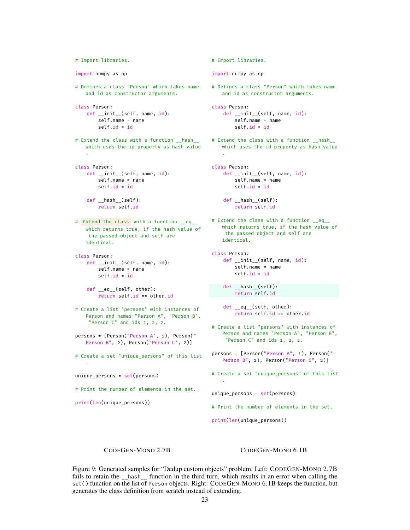```
# Import libraries.
import numpy as np
# Defines a class "Person" which takes name
   and id as constructor arguments.
class Person:
   def __init__(self, name, id):
        self.name = name
       self.id = id
# Extend the class with a function __hash__
   which uses the id property as hash value
   .
class Person:
   def __init__(self, name, id):
       self.name = name
       self.id = id
   def hash (self):
       return self.id
# Extend the class with a function __eq__
   which returns true, if the hash value of
    the passed object and self are
   identical.
class Person:
   def __init__(self, name, id):
       self.name = name
       self.id = id
   def __eq__(self, other):
        return self.id == other.id
# Create a list "persons" with instances of
   Person and names "Person A", "Person B",
    "Person C" and ids 1, 2, 2.
persons = [Person("Person A", 1), Person("
   Person B", 2), Person("Person C", 2)]
# Create a set "unique_persons" of this list
   .
unique_persons = set(persons)
# Print the number of elements in the set.
print(len(unique_persons))
```

```
# Import libraries.
import numpy as np
# Defines a class "Person" which takes name
   and id as constructor arguments.
class Person:
   def __init__(self, name, id):
        self.name = name
        self.id = id
# Extend the class with a function __hash__
   which uses the id property as hash value
    .
class Person:
    def __init__(self, name, id):
       self.name = name
        self.id = id
   def hash (self):
       return self.id
# Extend the class with a function __eq__
   which returns true, if the hash value of
    the passed object and self are
   identical.
class Person:
   def __init__(self, name, id):
       self.name = name
        self.id = id
    def __hash__(self):
       return self.id
    def __eq__(self, other):
        return self.id == other.id
# Create a list "persons" with instances of
   Person and names "Person A", "Person B",
    "Person C" and ids 1, 2, 2.
persons = [Person("Person A", 1), Person("
   Person B", 2), Person("Person C", 2)]
# Create a set "unique_persons" of this list
    .
```
unique\_persons = set(persons)

# Print the number of elements in the set.

print(len(unique\_persons))

CODEGEN-MONO 2.7B CODEGEN-MONO 6.1B

Figure 9: Generated samples for "Dedup custom objects" problem. Left: CODEGEN-MONO 2.7B fails to retain the \_\_hash\_\_ function in the third turn, which results in an error when calling the set() function on the list of Person objects. Right: CODEGEN-MONO 6.1B keeps the function, but generates the class definition from scratch instead of extending.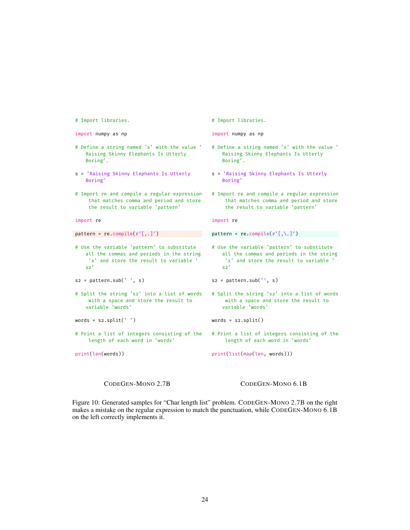```
# Import libraries.
import numpy as np
# Define a string named 's' with the value '
   Raising Skinny Elephants Is Utterly
   Boring'.
s = 'Raising Skinny Elephants Is Utterly
   Boring'
# Import re and compile a regular expression
    that matches comma and period and store
    the result to variable 'pattern'
import re
pattern = re.compile(r'[, .]')# Use the variable 'pattern' to substitute
   all the commas and periods in the string
    's' and store the result to variable '
   s2's2 = pattern.sub(' ', s)# Split the string 's2' into a list of words
    with a space and store the result to
   variable 'words'
words = s2.split('')# Print a list of integers consisting of the
    length of each word in 'words'
print(len(words))
                                               # Import libraries.
                                               import numpy as np
                                               # Define a string named 's' with the value '
                                                  Raising Skinny Elephants Is Utterly
                                                  Boring'.
                                               s = 'Raising Skinny Elephants Is Utterly
                                                   Boring'
                                               # Import re and compile a regular expression
                                                   that matches comma and period and store
                                                   the result to variable 'pattern'
                                               import re
                                               pattern = re.compile(r'[\,,\.,\,]')# Use the variable 'pattern' to substitute
                                                  all the commas and periods in the string
                                                   's' and store the result to variable '
                                                   s2's2 = pattern.sub('', s)# Split the string 's2' into a list of words
                                                   with a space and store the result to
                                                  variable 'words'
                                               words = s2.split()# Print a list of integers consisting of the
                                                   length of each word in 'words'
                                               print(list(map(len, words)))
```
CODEGEN-MONO 2.7B CODEGEN-MONO 6.1B

Figure 10: Generated samples for "Char length list" problem. CODEGEN-MONO 2.7B on the right makes a mistake on the regular expression to match the punctuation, while CODEGEN-MONO 6.1B on the left correctly implements it.